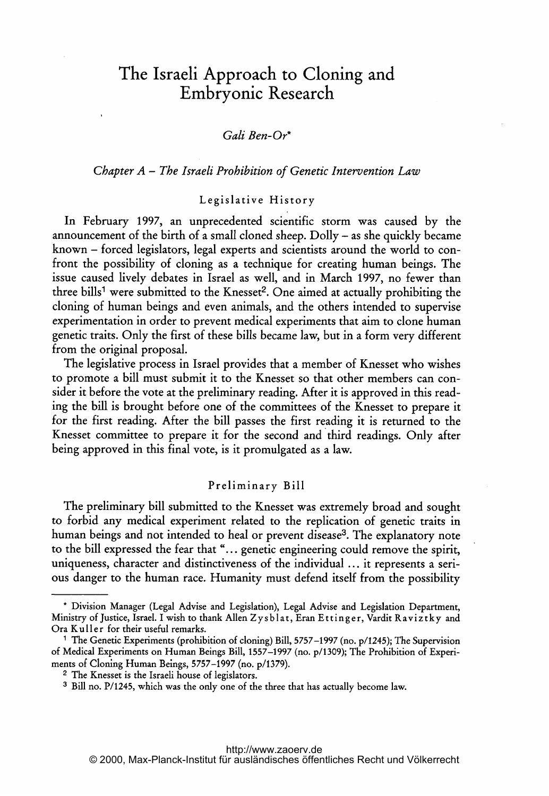# The Israeli Approach to Cloning and Embryonic Research

## Gali Ben-Or\*

### Chapter  $A$  – The Israeli Prohibition of Genetic Intervention Law

## Legislative History

In February 1997, an unprecedented scientific storm was caused by the announcement of the birth of <sup>a</sup> small cloned sheep. Dolly - as she quickly became known - forced legislators, legal experts and scientists around the world to confront the possibility of cloning as <sup>a</sup> technique for creating human beings. The issue caused lively debates in Israel as well, and in March 1997, no fewer than three bills<sup>1</sup> were submitted to the Knesset<sup>2</sup>. One aimed at actually prohibiting the cloning of human beings and even animals, and the others intended to supervise experimentation in order to prevent medical experiments that aim to clone human genetic traits. Only the first of these bills became law, but in <sup>a</sup> form very different from the original proposal.

The legislative process in Israel provides that <sup>a</sup> member of Knesset who wishes to promote <sup>a</sup> bill must submit it to the Knesset so that other members can consider it before the vote at the preliminary reading. After it is approved in this reading the bill is brought before one of the committees of the Knesset to prepare it for the first reading. After the bill passes the first reading it is returned to the Knesset committee to prepare it for the second and third readings. Only after being approved in this final vote, is it promulgated as <sup>a</sup> law.

#### Preliminary Bill

The preliminary bill submitted to the Knesset was extremely broad and sought to forbid any medical experiment related to the replication of genetic traits in human beings and not intended to heal or prevent disease<sup>3</sup>. The explanatory note to the bill expressed the fear that "... genetic engineering could remove the spirit, uniqueness, character and distinctiveness of the individual  $\ldots$  it represents a serious danger to the human race. Humanity must defend itself from the possibility

<sup>\*</sup> Division Manager (Legal Advise and Legislation), Legal Advise and Legislation Department, Ministry of Justice, Israel. I wish to thank Allen Zysblat, Eran Ettinger, Vardit Raviztky and Ora Kuller for their useful remarks.

<sup>&</sup>lt;sup>1</sup> The Genetic Experiments (prohibition of cloning) Bill, 5757-1997 (no. p/1245); The Supervision of Medical Experiments on Human Beings Bill, 1557-1997 (no. p/1309); The Prohibition of Experiments of Cloning Human Beings, 5757-1997 (no. p/1379).

<sup>2</sup> The Knesset is the Israeli house of legislators.

<sup>3</sup> Bill no. P/1245, which was the only one of the three that has actually become law.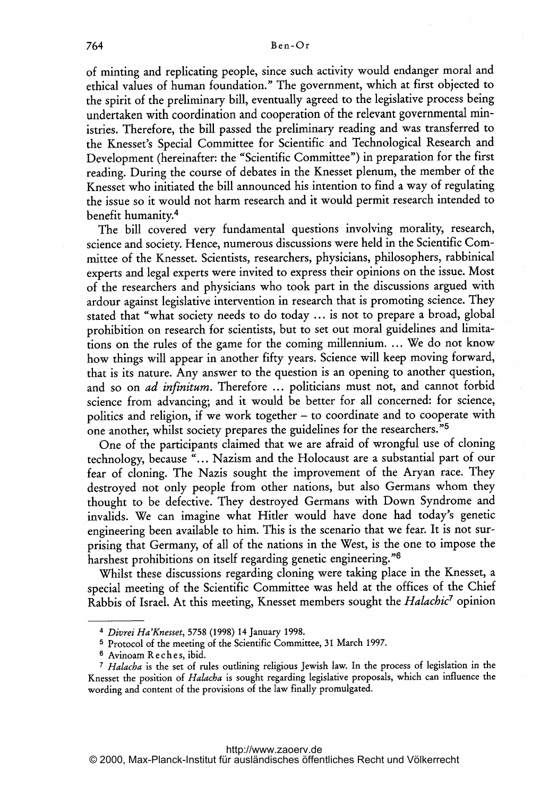of minting and replicating people, since such activity would endanger moral and ethical values of human foundation." The government, which at first objected to the spirit of the preliminary bill, eventually agreed to the legislative process being undertaken with coordination and cooperation of the relevant governmental ministries. Therefore, the bill passed the preliminary reading and was transferred to the Knesset's Special Committee for Scientific and Technological Research and Development (hereinafter: the "Scientific Committee") in preparation for the first reading. During the course of debates in the Knesset plenum, the member of the Knesset who initiated the bill announced his intention to find <sup>a</sup> way of regulating the issue so it would not harm research and it would permit research intended to benefit humanity.4

The bill covered very fundamental questions involving morality, research, science and society. Hence, numerous discussions were held in the Scientific Committee of the Knesset. Scientists, researchers, physicians, philosophers, rabbinical experts and legal experts were invited to express their opinions on the issue. Most of the researchers and physicians who took part in the discussions argued with ardour against legislative intervention in research that is promoting science. They stated that "what society needs to do today ... is not to prepare a broad, global prohibition on research for scientists, but to set out moral guidelines and limitations on the rules of the game for the coming millennium. ... We do not know how things will appear in another fifty years. Science will keep moving forward, that is its nature. Any answer to the question is an opening to another question, and so on *ad infinitum*. Therefore ... politicians must not, and cannot forbid science from advancing; and it would be better for all concerned: for science, politics and religion, if we work together - to coordinate and to cooperate with one another, whilst society prepares the guidelines for the researchers."5

One of the participants claimed that we are afraid of wrongful use of cloning technology, because "... Nazism and the Holocaust are <sup>a</sup> substantial part of our fear of cloning. The Nazis sought the improvement of the Aryan race. They destroyed not only people from other nations, but also Germans whom they thought to be defective. They destroyed Germans with Down Syndrome and invalids. We can imagine what Hitler would have done had today's genetic engineering been available to him. This is the scenario that we fear. It is not surprising that Germany, of all of the nations in the West, is the one to impose the harshest prohibitions on itself regarding genetic engineering."<sup>6</sup>

Whilst these discussions regarding cloning were taking place in the Knesset, <sup>a</sup> special meeting of the Scientific Committee was held at the offices of the Chief Rabbis of Israel. At this meeting, Knesset members sought the Halachic<sup>7</sup> opinion

<sup>4</sup> Divrei Ha'Knesset, 5758 (1998) 14 January 1998.

<sup>5</sup> Protocol of the meeting of the Scientific Committee, <sup>31</sup> March 1997.

<sup>&</sup>lt;sup>6</sup> Avinoam Reches, ibid.

<sup>7</sup> Halacha is the set of rules outlining religious Jewish law. In the process of legislation in the Knesset the position of Halacba is sought regarding legislative proposals, which can influence the wording and content of the provisions of the law finally promulgated.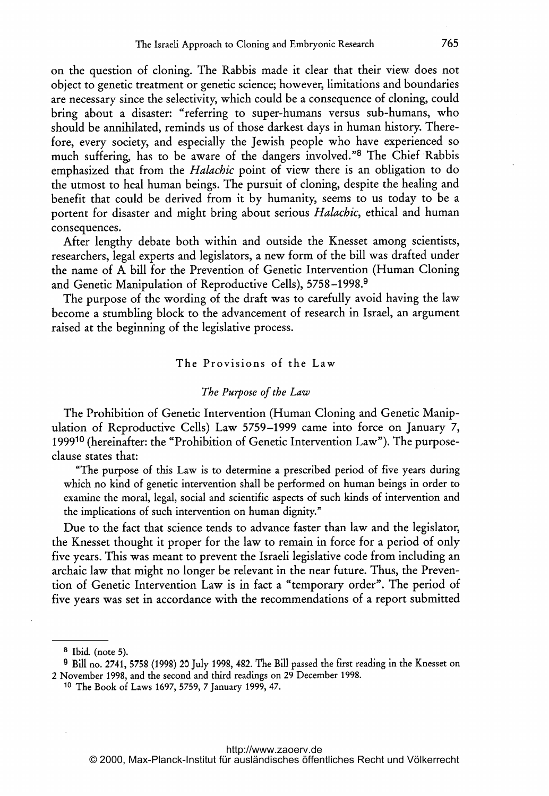on the question of cloning. The Rabbis made it clear that their view does not object to genetic treatment or genetic science; however, limitations and boundaries are necessary since the selectivity, which could be <sup>a</sup> consequence of cloning, could bring about <sup>a</sup> disaster: "referring to super-humans versus sub-humans, who should be annihilated, reminds us of those darkest days in human history. Therefore, every society, and especially the Jewish people who have experienced so much suffering, has to be aware of the dangers involved."<sup>8</sup> The Chief Rabbis emphasized that from the Halachic point of view there is an obligation to do the utmost to heal human beings. The pursuit of cloning, despite the healing and benefit that could be derived from it by humanity, seems to us today to be <sup>a</sup> portent for disaster and might bring about serious Halachic, ethical and human consequences.

After lengthy debate both within and outside the Knesset among scientists, researchers, legal experts and legislators, <sup>a</sup> new form of the bill was drafted under the name of A bill for the Prevention of Genetic Intervention (Human Cloning and Genetic Manipulation of Reproductive Cells), 5758-1998.9

The purpose of the wording of the draft was to carefully avoid having the law become a stumbling block to the advancement of research in Israel, an argument raised at the beginning of the legislative process.

#### The Provisions of the Law

#### The Purpose of the Law

The Prohibition of Genetic Intervention (Human Cloning and Genetic Manipulation of Reproductive Cells) Law 5759-1999 came into force on January 7, <sup>199910</sup> (hereinafter: the "Prohibition of Genetic Intervention Law"). The purposeclause states that:

"The purpose of this Law is to determine <sup>a</sup> prescribed period of five years during which no kind of genetic intervention shall be performed on human beings in order to examine the moral, legal, social and scientific aspects of such kinds of intervention and the implications of such intervention on human dignity."

Due to the fact that science tends to advance faster than law and the legislator, the Knesset thought it proper for the law to remain in force for <sup>a</sup> period of only five years. This was meant to prevent the Israeli legislative code from including an archaic law that might no longer be relevant in the near future. Thus, the Prevention of Genetic Intervention Law is in fact <sup>a</sup> "temporary order". The period of five years was set in accordance with the recommendations of <sup>a</sup> report submitted

<sup>8</sup> Ibid. (note 5).

<sup>9</sup> Bill no. 2741, 5758 (1998) 20 July 1999, 482. The Bill passed the first reading in the Knesset on <sup>2</sup> November 1998, and the second and third readings on 29 December 1998.

<sup>10</sup> The Book of Laws 1697, 5759, <sup>7</sup> January 1999, 47.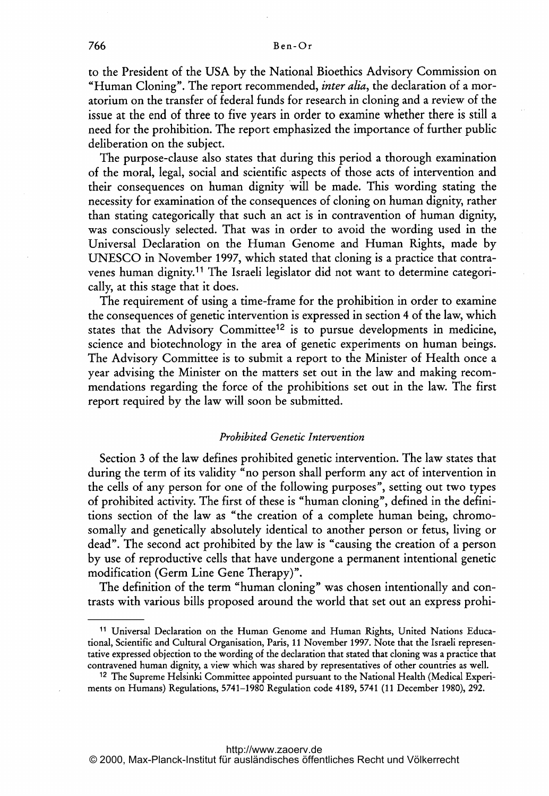to the President of the USA by the National Bioethics Advisory Commission on "Human Cloning". The report recommended, *inter alia*, the declaration of a moratorium on the transfer of federal funds for research in cloning and <sup>a</sup> review of the issue at the end of three to five years in order to examine whether there is still <sup>a</sup> need for the prohibition. The report emphasized the importance of further public deliberation on the subject.

The purpose-clause also states that during this period <sup>a</sup> thorough examination of the moral, legal, social and scientific aspects of those acts of intervention and their consequences on human dignity will be made. This wording stating the necessity for examination of the consequences of cloning on human dignity, rather than stating categorically that such an act is in contravention of human dignity, was consciously selected. That was in order to avoid the wording used in the Universal Declaration on the Human Genome and Human Rights, made by UNESCO in November 1997, which stated that cloning is <sup>a</sup> practice that contravenes human dignity.11 The Israeli legislator did not want to determine categorically, at this stage that it does.

The requirement of using <sup>a</sup> time-frame for the prohibition in order to examine the consequences of genetic intervention is expressed in section <sup>4</sup> of the law, which states that the Advisory Committee<sup>12</sup> is to pursue developments in medicine, science and biotechnology in the area of genetic experiments on human beings. The Advisory Committee is to submit <sup>a</sup> report to the Minister of Health once <sup>a</sup> year advising the Minister on the matters set out in the law and making recommendations regarding the force of the prohibitions set out in the law. The first report required by the law will soon be submitted.

## Prohibited Genetic Intervention

Section <sup>3</sup> of the law defines prohibited genetic intervention. The law states that during the term of its validity "no person shall perform any act of intervention in the cells of any person for one of the following purposes", setting out two types of prohibited activity. The first of these is "human cloning", defined in the definitions section of the law as "the creation of <sup>a</sup> complete human being, chromosomally and genetically absolutely identical to another person or fetus, living or dead". The second act prohibited by the law is "causing the creation of <sup>a</sup> person by use of reproductive cells that have undergone <sup>a</sup> permanent intentional genetic modification (Germ Line Gene Therapy)".

The definition of the term "human cloning" was chosen intentionally and contrasts with various bills proposed around the world that set out an express prohi-

<sup>11</sup> Universal Declaration on the Human Genome and Human Rights, United Nations Educational, Scientific and Cultural Organisation, Paris, 11 November 1997. Note that the Israeli representative expressed objection to the wording of the declaration that stated that cloning was a practice that contravened human dignity, <sup>a</sup> view which was shared by representatives of other countries as well.

<sup>&</sup>lt;sup>12</sup> The Supreme Helsinki Committee appointed pursuant to the National Health (Medical Experiments on Humans) Regulations, 5741-1980 Regulation code 4189, 5741 (11 December 1980), 292.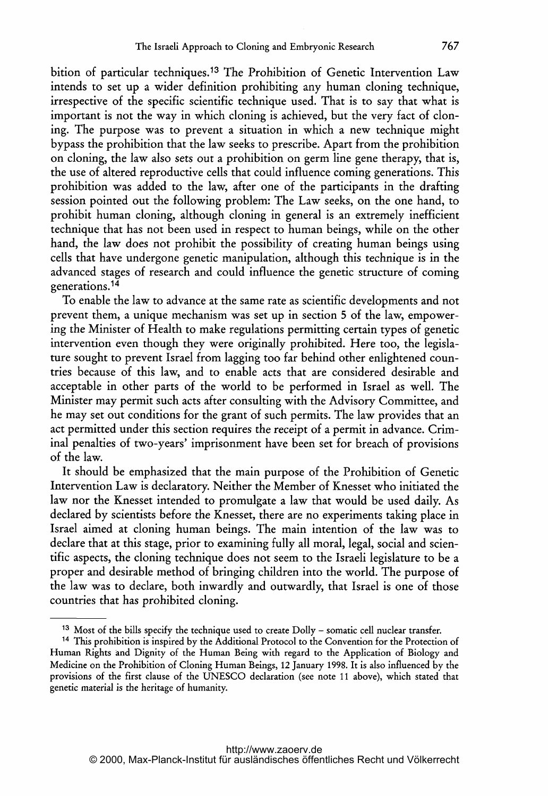bition of particular techniques.13 The Prohibition of Genetic Intervention Law intends to set up <sup>a</sup> wider definition prohibiting any human cloning technique, irrespective of the specific scientific technique used. That is to say that what is important is not the way in which cloning is achieved, but the very fact of cloning. The purpose was to prevent <sup>a</sup> situation in which <sup>a</sup> new technique might bypass the prohibition that the law seeks to prescribe. Apart from the prohibition on cloning, the law also sets out <sup>a</sup> prohibition on germ line gene therapy, that is, the use of altered reproductive cells that could influence coming generations. This prohibition was added to the law, after one of the participants in the drafting session pointed out the following problem: The Law seeks, on the one hand, to prohibit human cloning, although cloning in general is an extremely inefficient technique that has not been used in respect to human beings, while on the other hand, the law does not prohibit the possibility of creating human beings using cells that have undergone genetic manipulation, although this technique is in the advanced stages of research and could influence the genetic structure of coming generations.14

To enable the law to advance at the same rate as scientific developments and not prevent them, <sup>a</sup> unique mechanism was set up in section <sup>5</sup> of the law, empowering the Minister of Health to make regulations permitting certain types of genetic intervention even though they were originally prohibited. Here too, the legislature sought to prevent Israel from lagging too far behind other enlightened countries because of this law, and to enable acts that are considered desirable and acceptable in other parts of the world to be performed in Israel as well. The Minister may permit such acts after consulting with the Advisory Committee, and he may set out conditions for the grant of such permits. The law provides that an act permitted under this section requires the receipt of <sup>a</sup> permit in advance. Criminal penalties of two-years' imprisonment have been set for breach of provisions of the law.

It should be emphasized that the main purpose of the Prohibition of Genetic Intervention Law is declaratory. Neither the Member of Knesset who initiated the law nor the Knesset intended to promulgate <sup>a</sup> law that would be used daily. As declared by scientists before the Knesset, there are no experiments taking place in Israel aimed at cloning human beings. The main intention of the law was to declare that at this stage, prior to examining fully all moral, legal, social and scientific aspects, the cloning technique does not seem to the Israeli legislature to be a proper and desirable method of bringing children into the world. The purpose of the law was to declare, both inwardly and outwardly, that Israel is one of those countries that has prohibited cloning.

 $13$  Most of the bills specify the technique used to create Dolly – somatic cell nuclear transfer.

<sup>14</sup> This prohibition is inspired by the Additional Protocol to the Convention for the Protection of Human Rights and Dignity of the Human Being with regard to the Application of Biology and Medicine on the Prohibition of Cloning Human Beings, <sup>12</sup> January 1998. It is also influenced by the provisions of the first clause of the UNESCO declaration (see note <sup>11</sup> above), which stated that genetic material is the heritage of humanity.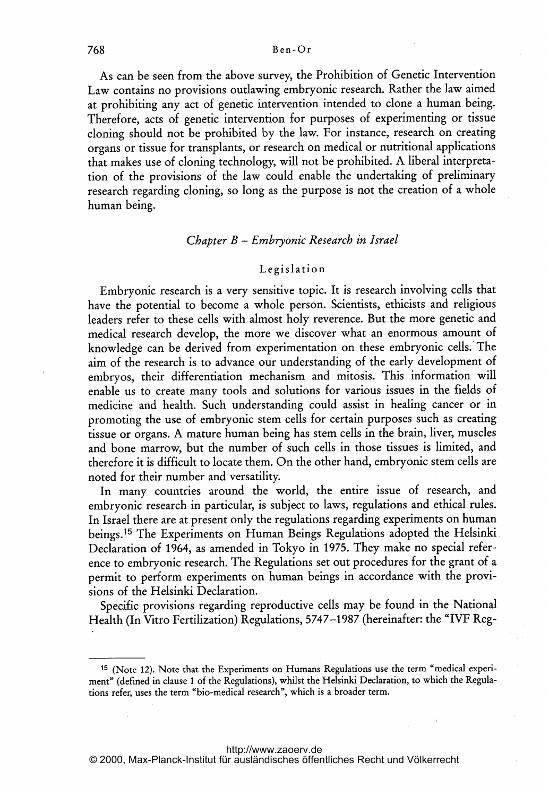As can be seen from the above survey, the Prohibition of Genetic Intervention Law contains no provisions outlawing embryonic research. Rather the law aimed at prohibiting any act of genetic intervention intended to clone <sup>a</sup> human being. Therefore, acts of genetic intervention for purposes of experimenting or tissue cloning should not be prohibited by the law. For instance, research on creating organs or tissue for transplants, or research on medical or nutritional applications that makes use of cloning technology, will not be prohibited. A liberal interpretation of the provisions of the law could enable the undertaking of preliminary research regarding cloning, so long as the purpose is not the creation of <sup>a</sup> whole human being.

# Chapter B - Embryonic Research in Israel

#### Legislation

Embryonic research is <sup>a</sup> very sensitive topic. It is research involving cells that have the potential to become <sup>a</sup> whole person. Scientists, ethicists and religious leaders refer to these cells with almost holy reverence. But the more genetic and medical research develop, the more we discover what an enormous amount of knowledge can be derived from experimentation on these embryonic cells.\* The aim of the research is to advance our understanding of the early development of embryos, their differentiation mechanism and mitosis. This information will enable us to create many tools and solutions for various issues in the fields of medicine and health. Such understanding could assist in healing cancer or in promoting the use of embryonic stem cells for certain purposes such as creating tissue or organs. A mature human being has stem cells in the brain, liver, muscles and bone marrow, but the number of such cells in those tissues is limited, and therefore it is difficult to locate them. On the other hand, embryonic stem cells are noted for their number and versatility.

In many countries around the world, the entire issue of research, and embryonic research in particular, is subject to laws, regulations and ethical rules. In Israel there are at present only the regulations regarding experiments on human beings.15 The Experiments on Human Beings Regulations adopted the Helsinki Declaration of 1964, as amended in Tokyo in 1975. They make no special reference to embryonic research. The Regulations set out procedures for the grant of <sup>a</sup> permit to perform experiments on human beings in accordance with the provisions of the Helsinki Declaration.

Specific provisions regarding reproductive cells may be found in the National Health (In Vitro Fertilization) Regulations, 5747-1987 (hereinafter: the "IVF Reg-

<sup>15</sup> (Note 12). Note that the Experiments on Humans Regulations use the term "medical experiment" (defined in clause <sup>1</sup> of the Regulations), whilst the Helsinki Declaration, to which the Regulations refer, uses the term "bio-medical research", which is <sup>a</sup> broader term.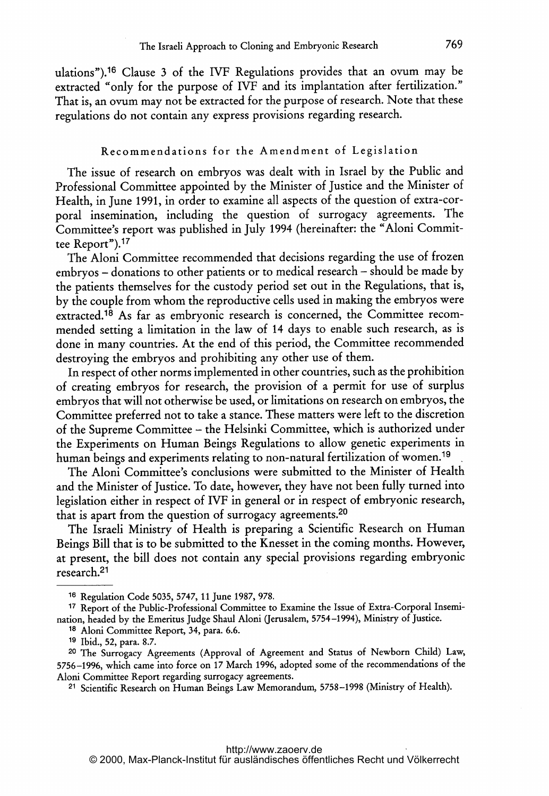ulations").16 Clause <sup>3</sup> of the IVF Regulations provides that an ovum may be extracted "only for the purpose of IVF and its implantation after fertilization." That is, an ovum may not be extracted for the purpose of research. Note that these regulations do not contain any express provisions regarding research.

#### Recommendations for the Amendment of Legislation

The issue of research on embryos was dealt with in Israel by the Public and Professional Committee appointed by the Minister of justice and the Minister of Health, in June 1991, in order to examine all aspects of the question of extra-corporal insemination, including the question of surrogacy agreements. The Committee's report was published in July <sup>1994</sup> (hereinafter: the "Aloni Committee Report").17

The Aloni Committee recommended that decisions regarding the use of frozen embryos - donations to other patients or to medical research - should be made by the patients themselves for the custody period set out in the Regulations, that is, by the couple from whom the reproductive cells used in making the embryos were extracted.18 As far as embryonic research is concerned, the Committee recommended setting <sup>a</sup> limitation in the law of <sup>14</sup> days to enable such research, as is done in many countries. At the end of this period, the Committee recommended destroying the embryos and prohibiting any other use of them.

In respect of other norms implemented in other countries, such as the prohibition of creating embryos for research, the provision of <sup>a</sup> permit for use of surplus embryos that will not otherwise be used, or limitations on research on embryos, the Committee preferred not to take <sup>a</sup> stance. These matters were left to the discretion of the Supreme Committee - the Helsinki Committee, which is authorized under the Experiments on Human Beings Regulations to allow genetic experiments in human beings and experiments relating to non-natural fertilization of women.<sup>19</sup>

The Aloni Committee's conclusions were submitted to the Minister of Health and the Minister of justice. To date, however, they have not been fully turned into legislation either in respect of IVF in general or in respect of embryonic research, that is apart from the question of surrogacy agreements.<sup>20</sup>

The Israeli Ministry of Health is preparing <sup>a</sup> Scientific Research on Human Beings Bill that is to be submitted to the Knesset in the coming months. However, at present, the bill does not contain any special provisions regarding embryonic research.21

<sup>16</sup> Regulation Code 5035, 5747, <sup>11</sup> June 1987, 978.

<sup>17</sup> Report of the Public-Professional Committee to Examine the Issue of Extra-Corporal Insemination, headed by the Emeritus Judge Shaul Aloni Uerusalem, 5754-1994), Ministry of justice.

<sup>18</sup> Aloni Committee Report, 34, para. 6.6.

<sup>&</sup>lt;sup>19</sup> Ibid., 52, para. 8.7.

<sup>20</sup> The Surrogacy Agreements (Approval of Agreement and Status of Newborn Child) Law, 5756-1996, which came into force on <sup>17</sup> March 1996, adopted some of the recommendations of the Aloni Committee Report regarding surrogacy agreements.

<sup>21</sup> Scientific Research on Human Beings Law Memorandum, 5758-1998 (Ministry of Health).